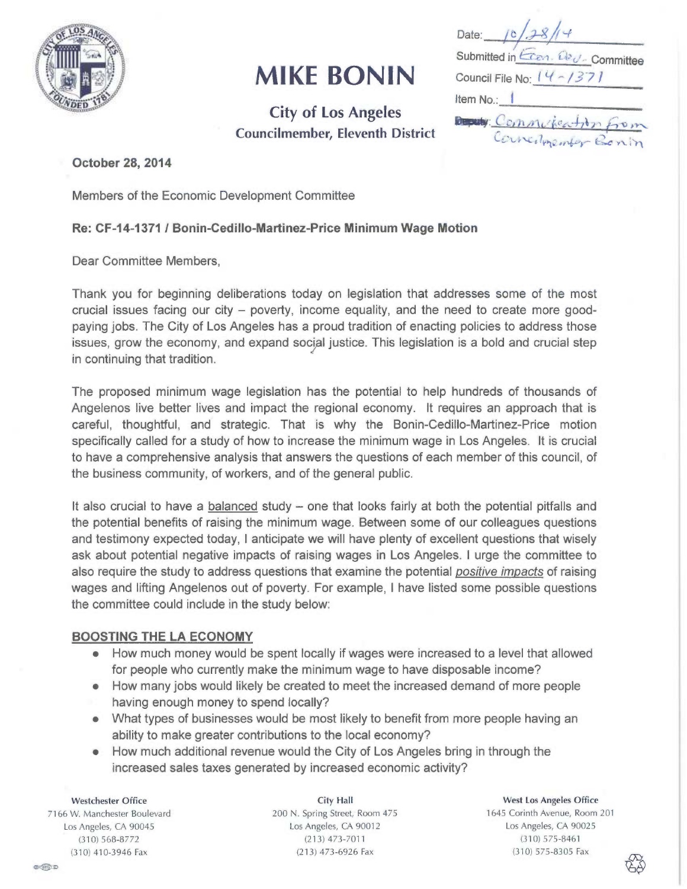

# MIKE BONIN

City of Los Angeles Councilmember, Eleventh District

Date: Submitted in Cren. Dev. Committee Council File No:  $(4 - 1371)$ Item No.:  $B$   $\mathbf{E}$   $\mathbf{E}$   $\mathbf{E}$   $\mathbf{E}$   $\mathbf{E}$   $\mathbf{E}$   $\mathbf{E}$   $\mathbf{E}$   $\mathbf{E}$   $\mathbf{E}$   $\mathbf{E}$   $\mathbf{E}$   $\mathbf{E}$   $\mathbf{E}$   $\mathbf{E}$   $\mathbf{E}$   $\mathbf{E}$   $\mathbf{E}$   $\mathbf{E}$   $\mathbf{E}$   $\mathbf{E}$   $\mathbf{E}$   $\mathbf{E}$   $\mathbf{E}$  Councilmon

October 28, 2014

Members of the Economic Development Committee

### Re: CF-14-1371 / Bonin-Cedillo-Martinez-Price Minimum Wage Motion

Dear Committee Members,

Thank you for beginning deliberations today on legislation that addresses some of the most crucial issues facing our city — poverty, income equality, and the need to create more goodpaying jobs. The City of Los Angeles has a proud tradition of enacting policies to address those issues, grow the economy, and expand social justice. This legislation is a bold and crucial step in continuing that tradition.

The proposed minimum wage legislation has the potential to help hundreds of thousands of Angelenos live better lives and impact the regional economy. It requires an approach that is careful, thoughtful, and strategic. That is why the Bonin-Cedillo-Martinez-Price motion specifically called for a study of how to increase the minimum wage in Los Angeles. It is crucial to have a comprehensive analysis that answers the questions of each member of this council, of the business community, of workers, and of the general public.

It also crucial to have a balanced study — one that looks fairly at both the potential pitfalls and the potential benefits of raising the minimum wage. Between some of our colleagues questions and testimony expected today, I anticipate we will have plenty of excellent questions that wisely ask about potential negative impacts of raising wages in Los Angeles. I urge the committee to also require the study to address questions that examine the potential *positive impacts* of raising wages and lifting Angelenos out of poverty. For example, I have listed some possible questions the committee could include in the study below:

#### BOOSTING THE LA ECONOMY

- How much money would be spent locally if wages were increased to a level that allowed for people who currently make the minimum wage to have disposable income?
- How many jobs would likely be created to meet the increased demand of more people having enough money to spend locally?
- What types of businesses would be most likely to benefit from more people having an ability to make greater contributions to the local economy?
- How much additional revenue would the City of Los Angeles bring in through the increased sales taxes generated by increased economic activity?

Westchester Office 7166 W. Manchester Boulevard Los Angeles, CA 90045 (310) 568-8772 (310) 410-3946 Fax

City Hall 200 N. Spring Street, Room 475 Los Angeles, CA 90012 (213) 473-7011 (213) 473-6926 Fax

West Los Angeles Office 1645 Corinth Avenue, Room 201 Los Angeles, CA 90025 (310) 575-8461 (310) 575-8305 Fax

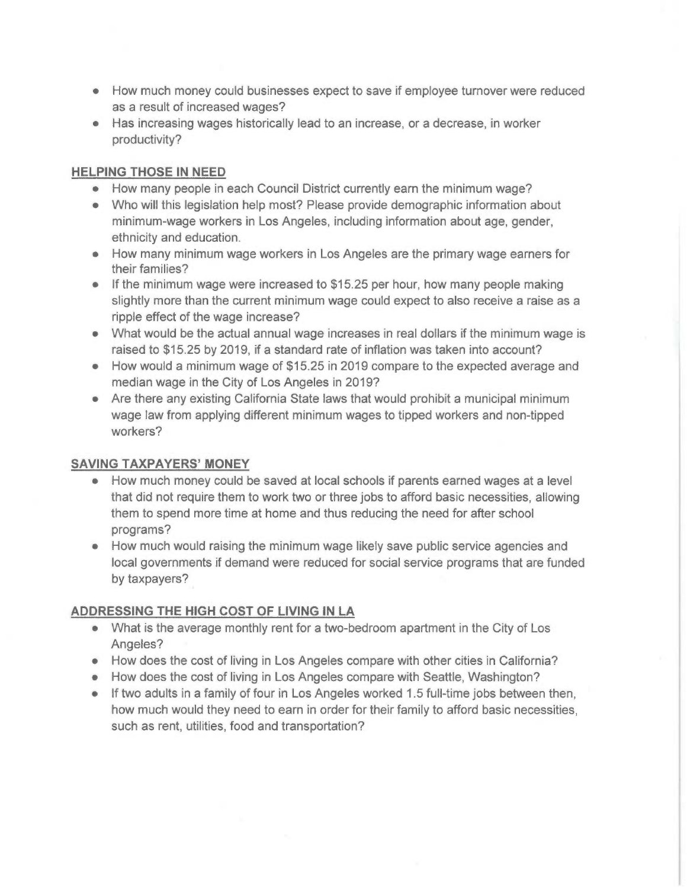- How much money could businesses expect to save if employee turnover were reduced as a result of increased wages?
- Has increasing wages historically lead to an increase, or a decrease, in worker productivity?

### HELPING THOSE IN NEED

- How many people in each Council District currently earn the minimum wage?
- Who will this legislation help most? Please provide demographic information about minimum-wage workers in Los Angeles, including information about age, gender, ethnicity and education.
- How many minimum wage workers in Los Angeles are the primary wage earners for their families?
- If the minimum wage were increased to \$15.25 per hour, how many people making slightly more than the current minimum wage could expect to also receive a raise as a ripple effect of the wage increase?
- What would be the actual annual wage increases in real dollars if the minimum wage is raised to \$15.25 by 2019, if a standard rate of inflation was taken into account?
- How would a minimum wage of \$15.25 in 2019 compare to the expected average and median wage in the City of Los Angeles in 2019?
- Are there any existing California State laws that would prohibit a municipal minimum wage law from applying different minimum wages to tipped workers and non-tipped workers?

## SAVING TAXPAYERS' MONEY

- How much money could be saved at local schools if parents earned wages at a level that did not require them to work two or three jobs to afford basic necessities, allowing them to spend more time at home and thus reducing the need for after school programs?
- How much would raising the minimum wage likely save public service agencies and local governments if demand were reduced for social service programs that are funded by taxpayers?

## ADDRESSING THE HIGH COST OF LIVING IN LA

- What is the average monthly rent for a two-bedroom apartment in the City of Los Angeles?
- How does the cost of living in Los Angeles compare with other cities in California?
- How does the cost of living in Los Angeles compare with Seattle, Washington?
- If two adults in a family of four in Los Angeles worked 1.5 full-time jobs between then, how much would they need to earn in order for their family to afford basic necessities, such as rent, utilities, food and transportation?